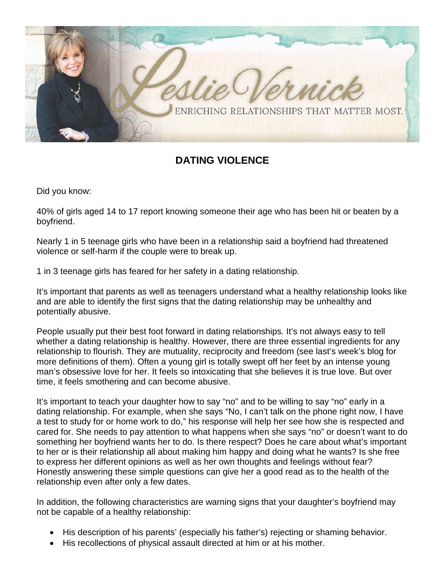

## **DATING VIOLENCE**

Did you know:

40% of girls aged 14 to 17 report knowing someone their age who has been hit or beaten by a boyfriend.

Nearly 1 in 5 teenage girls who have been in a relationship said a boyfriend had threatened violence or self-harm if the couple were to break up.

1 in 3 teenage girls has feared for her safety in a dating relationship.

It's important that parents as well as teenagers understand what a healthy relationship looks like and are able to identify the first signs that the dating relationship may be unhealthy and potentially abusive.

People usually put their best foot forward in dating relationships. It's not always easy to tell whether a dating relationship is healthy. However, there are three essential ingredients for any relationship to flourish. They are mutuality, reciprocity and freedom (see last's week's blog for more definitions of them). Often a young girl is totally swept off her feet by an intense young man's obsessive love for her. It feels so intoxicating that she believes it is true love. But over time, it feels smothering and can become abusive.

It's important to teach your daughter how to say "no" and to be willing to say "no" early in a dating relationship. For example, when she says "No, I can't talk on the phone right now, I have a test to study for or home work to do," his response will help her see how she is respected and cared for. She needs to pay attention to what happens when she says "no" or doesn't want to do something her boyfriend wants her to do. Is there respect? Does he care about what's important to her or is their relationship all about making him happy and doing what he wants? Is she free to express her different opinions as well as her own thoughts and feelings without fear? Honestly answering these simple questions can give her a good read as to the health of the relationship even after only a few dates.

In addition, the following characteristics are warning signs that your daughter's boyfriend may not be capable of a healthy relationship:

- His description of his parents' (especially his father's) rejecting or shaming behavior.
- His recollections of physical assault directed at him or at his mother.